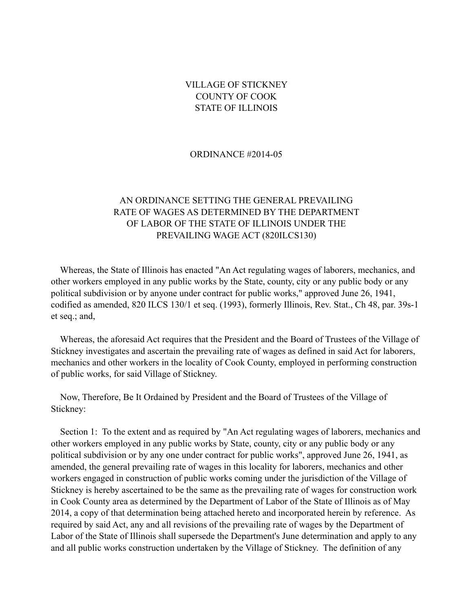#### VILLAGE OF STICKNEY COUNTY OF COOK STATE OF ILLINOIS

#### ORDINANCE #2014-05

#### AN ORDINANCE SETTING THE GENERAL PREVAILING RATE OF WAGES AS DETERMINED BY THE DEPARTMENT OF LABOR OF THE STATE OF ILLINOIS UNDER THE PREVAILING WAGE ACT (820ILCS130)

 Whereas, the State of Illinois has enacted "An Act regulating wages of laborers, mechanics, and other workers employed in any public works by the State, county, city or any public body or any political subdivision or by anyone under contract for public works," approved June 26, 1941, codified as amended, 820 ILCS 130/1 et seq. (1993), formerly Illinois, Rev. Stat., Ch 48, par. 39s-1 et seq.; and,

 Whereas, the aforesaid Act requires that the President and the Board of Trustees of the Village of Stickney investigates and ascertain the prevailing rate of wages as defined in said Act for laborers, mechanics and other workers in the locality of Cook County, employed in performing construction of public works, for said Village of Stickney.

 Now, Therefore, Be It Ordained by President and the Board of Trustees of the Village of Stickney:

Section 1: To the extent and as required by "An Act regulating wages of laborers, mechanics and other workers employed in any public works by State, county, city or any public body or any political subdivision or by any one under contract for public works", approved June 26, 1941, as amended, the general prevailing rate of wages in this locality for laborers, mechanics and other workers engaged in construction of public works coming under the jurisdiction of the Village of Stickney is hereby ascertained to be the same as the prevailing rate of wages for construction work in Cook County area as determined by the Department of Labor of the State of Illinois as of May 2014, a copy of that determination being attached hereto and incorporated herein by reference. As required by said Act, any and all revisions of the prevailing rate of wages by the Department of Labor of the State of Illinois shall supersede the Department's June determination and apply to any and all public works construction undertaken by the Village of Stickney. The definition of any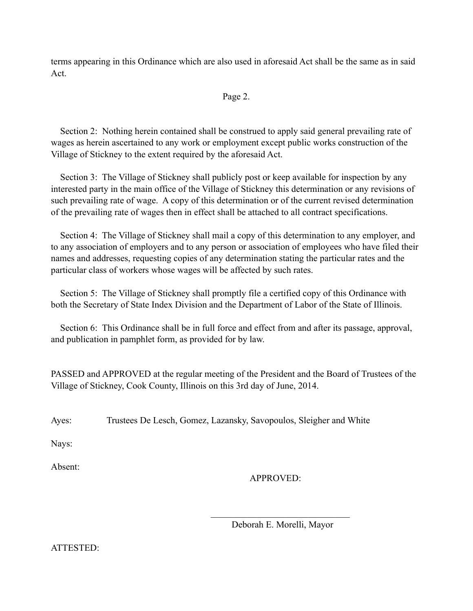terms appearing in this Ordinance which are also used in aforesaid Act shall be the same as in said Act.

#### Page 2.

 Section 2: Nothing herein contained shall be construed to apply said general prevailing rate of wages as herein ascertained to any work or employment except public works construction of the Village of Stickney to the extent required by the aforesaid Act.

 Section 3: The Village of Stickney shall publicly post or keep available for inspection by any interested party in the main office of the Village of Stickney this determination or any revisions of such prevailing rate of wage. A copy of this determination or of the current revised determination of the prevailing rate of wages then in effect shall be attached to all contract specifications.

 Section 4: The Village of Stickney shall mail a copy of this determination to any employer, and to any association of employers and to any person or association of employees who have filed their names and addresses, requesting copies of any determination stating the particular rates and the particular class of workers whose wages will be affected by such rates.

 Section 5: The Village of Stickney shall promptly file a certified copy of this Ordinance with both the Secretary of State Index Division and the Department of Labor of the State of Illinois.

 Section 6: This Ordinance shall be in full force and effect from and after its passage, approval, and publication in pamphlet form, as provided for by law.

PASSED and APPROVED at the regular meeting of the President and the Board of Trustees of the Village of Stickney, Cook County, Illinois on this 3rd day of June, 2014.

Ayes: Trustees De Lesch, Gomez, Lazansky, Savopoulos, Sleigher and White

 $\mathcal{L}_\text{max}$  and  $\mathcal{L}_\text{max}$  and  $\mathcal{L}_\text{max}$  and  $\mathcal{L}_\text{max}$ 

Nays:

Absent:

## APPROVED:

Deborah E. Morelli, Mayor

ATTESTED: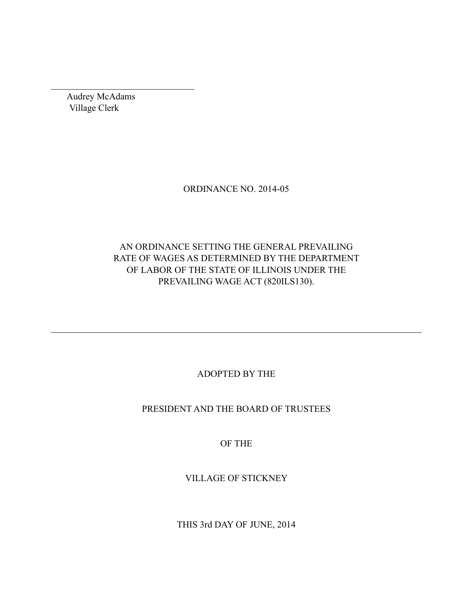Audrey McAdams Village Clerk

 $\mathcal{L}_\text{max}$ 

#### ORDINANCE NO. 2014-05

## AN ORDINANCE SETTING THE GENERAL PREVAILING RATE OF WAGES AS DETERMINED BY THE DEPARTMENT OF LABOR OF THE STATE OF ILLINOIS UNDER THE PREVAILING WAGE ACT (820ILS130).

## ADOPTED BY THE

 $\mathcal{L}_\mathcal{L} = \{ \mathcal{L}_\mathcal{L} = \{ \mathcal{L}_\mathcal{L} = \{ \mathcal{L}_\mathcal{L} = \{ \mathcal{L}_\mathcal{L} = \{ \mathcal{L}_\mathcal{L} = \{ \mathcal{L}_\mathcal{L} = \{ \mathcal{L}_\mathcal{L} = \{ \mathcal{L}_\mathcal{L} = \{ \mathcal{L}_\mathcal{L} = \{ \mathcal{L}_\mathcal{L} = \{ \mathcal{L}_\mathcal{L} = \{ \mathcal{L}_\mathcal{L} = \{ \mathcal{L}_\mathcal{L} = \{ \mathcal{L}_\mathcal{$ 

## PRESIDENT AND THE BOARD OF TRUSTEES

# OF THE

## VILLAGE OF STICKNEY

THIS 3rd DAY OF JUNE, 2014